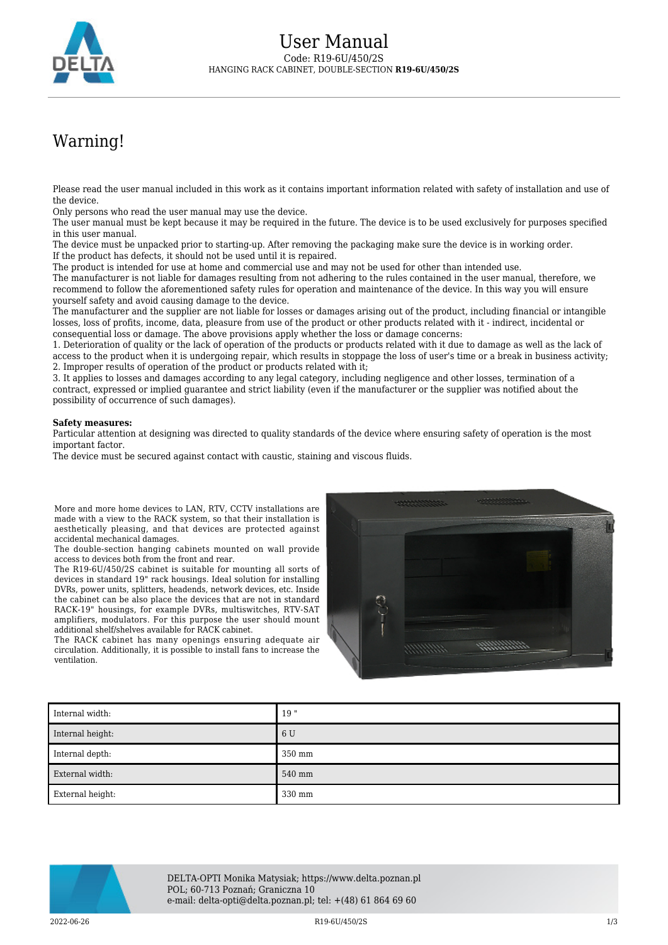

## Warning!

Please read the user manual included in this work as it contains important information related with safety of installation and use of the device.

Only persons who read the user manual may use the device.

The user manual must be kept because it may be required in the future. The device is to be used exclusively for purposes specified in this user manual.

The device must be unpacked prior to starting-up. After removing the packaging make sure the device is in working order. If the product has defects, it should not be used until it is repaired.

The product is intended for use at home and commercial use and may not be used for other than intended use.

The manufacturer is not liable for damages resulting from not adhering to the rules contained in the user manual, therefore, we recommend to follow the aforementioned safety rules for operation and maintenance of the device. In this way you will ensure yourself safety and avoid causing damage to the device.

The manufacturer and the supplier are not liable for losses or damages arising out of the product, including financial or intangible losses, loss of profits, income, data, pleasure from use of the product or other products related with it - indirect, incidental or consequential loss or damage. The above provisions apply whether the loss or damage concerns:

1. Deterioration of quality or the lack of operation of the products or products related with it due to damage as well as the lack of access to the product when it is undergoing repair, which results in stoppage the loss of user's time or a break in business activity; 2. Improper results of operation of the product or products related with it;

3. It applies to losses and damages according to any legal category, including negligence and other losses, termination of a contract, expressed or implied guarantee and strict liability (even if the manufacturer or the supplier was notified about the possibility of occurrence of such damages).

## **Safety measures:**

Particular attention at designing was directed to quality standards of the device where ensuring safety of operation is the most important factor.

The device must be secured against contact with caustic, staining and viscous fluids.

More and more home devices to LAN, RTV, CCTV installations are made with a view to the RACK system, so that their installation is aesthetically pleasing, and that devices are protected against accidental mechanical damages.

The double-section hanging cabinets mounted on wall provide access to devices both from the front and rear.

The R19-6U/450/2S cabinet is suitable for mounting all sorts of devices in standard 19" rack housings. Ideal solution for installing DVRs, power units, splitters, headends, network devices, etc. Inside the cabinet can be also place the devices that are not in standard RACK-19" housings, for example DVRs, multiswitches, RTV-SAT amplifiers, modulators. For this purpose the user should mount additional shelf/shelves available for RACK cabinet.

The RACK cabinet has many openings ensuring adequate air circulation. Additionally, it is possible to install fans to increase the ventilation.



| Internal width:  | 19"    |
|------------------|--------|
| Internal height: | 6 U    |
| Internal depth:  | 350 mm |
| External width:  | 540 mm |
| External height: | 330 mm |



DELTA-OPTI Monika Matysiak; https://www.delta.poznan.pl POL; 60-713 Poznań; Graniczna 10 e-mail: delta-opti@delta.poznan.pl; tel: +(48) 61 864 69 60

2022-06-26 R19-6U/450/2S 1/3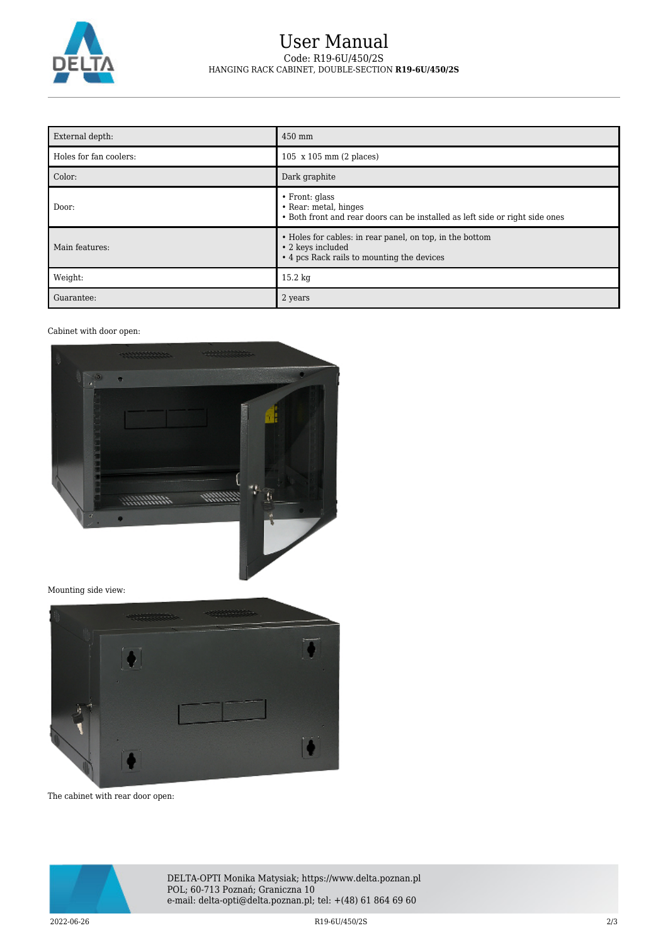

## User Manual Code: R19-6U/450/2S HANGING RACK CABINET, DOUBLE-SECTION **R19-6U/450/2S**

| External depth:        | 450 mm                                                                                                                        |
|------------------------|-------------------------------------------------------------------------------------------------------------------------------|
| Holes for fan coolers: | 105 x 105 mm (2 places)                                                                                                       |
| Color:                 | Dark graphite                                                                                                                 |
| Door:                  | $\cdot$ Front: glass<br>• Rear: metal, hinges<br>• Both front and rear doors can be installed as left side or right side ones |
| Main features:         | • Holes for cables: in rear panel, on top, in the bottom<br>• 2 keys included<br>• 4 pcs Rack rails to mounting the devices   |
| Weight:                | 15.2 kg                                                                                                                       |
| Guarantee:             | 2 years                                                                                                                       |

## Cabinet with door open:



Mounting side view:



The cabinet with rear door open:



DELTA-OPTI Monika Matysiak; https://www.delta.poznan.pl POL; 60-713 Poznań; Graniczna 10 e-mail: delta-opti@delta.poznan.pl; tel: +(48) 61 864 69 60

2022-06-26 R19-6U/450/2S 2/3